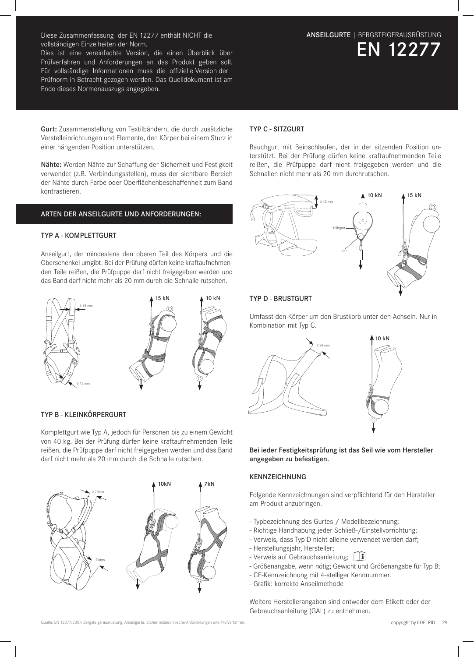Diese Zusammenfassung der EN 12277 enthält NICHT die vollständigen Einzelheiten der Norm.

Dies ist eine vereinfachte Version, die einen Überblick über Prüfverfahren und Anforderungen an das Produkt geben soll. Für vollständige Informationen muss die offizielle Version der Prüfnorm in Betracht gezogen werden. Das Quelldokument ist am Ende dieses Normenauszugs angegeben.

Gurt: Zusammenstellung von Textilbändern, die durch zusätzliche Verstelleinrichtungen und Elemente, den Körper bei einem Sturz in einer hängenden Position unterstützen.

Nähte: Werden Nähte zur Schaffung der Sicherheit und Festigkeit verwendet (z.B. Verbindungsstellen), muss der sichtbare Bereich der Nähte durch Farbe oder Oberflächenbeschaffenheit zum Band kontrastieren.

# ARTEN DER ANSEILGURTE UND ANFORDERUNGEN:

## TYP A - KOMPLETTGURT

Anseilgurt, der mindestens den oberen Teil des Körpers und die Oberschenkel umgibt. Bei der Prüfung dürfen keine kraftaufnehmenden Teile reißen, die Prüfpuppe darf nicht freigegeben werden und das Band darf nicht mehr als 20 mm durch die Schnalle rutschen.



#### TYP B - KLEINKÖRPERGURT

Komplettgurt wie Typ A, jedoch für Personen bis zu einem Gewicht von 40 kg. Bei der Prüfung dürfen keine kraftaufnehmenden Teile reißen, die Prüfpuppe darf nicht freigegeben werden und das Band darf nicht mehr als 20 mm durch die Schnalle rutschen.



# TYP C - SITZGURT

Bauchgurt mit Beinschlaufen, der in der sitzenden Position unterstützt. Bei der Prüfung dürfen keine kraftaufnehmenden Teile reißen, die Prüfpuppe darf nicht freigegeben werden und die Schnallen nicht mehr als 20 mm durchrutschen.



# TYP D - BRUSTGURT

Umfasst den Körper um den Brustkorb unter den Achseln. Nur in Kombination mit Typ C.



Bei ieder Festigkeitsprüfung ist das Seil wie vom Hersteller angegeben zu befestigen.

## KENNZEICHNUNG

Folgende Kennzeichnungen sind verpflichtend für den Hersteller am Produkt anzubringen.

- Typbezeichnung des Gurtes / Modellbezeichnung;
- Richtige Handhabung jeder Schließ-/Einstellvorrichtung;
- Verweis, dass Typ D nicht alleine verwendet werden darf;
- Herstellungsjahr, Hersteller;
- Verweis auf Gebrauchsanleitung; [1
- Größenangabe, wenn nötig; Gewicht und Größenangabe für Typ B;
- CE-Kennzeichnung mit 4-stelliger Kennnummer.
- Grafik: korrekte Anseilmethode

Weitere Herstellerangaben sind entweder dem Etikett oder der Gebrauchsanleitung (GAL) zu entnehmen.